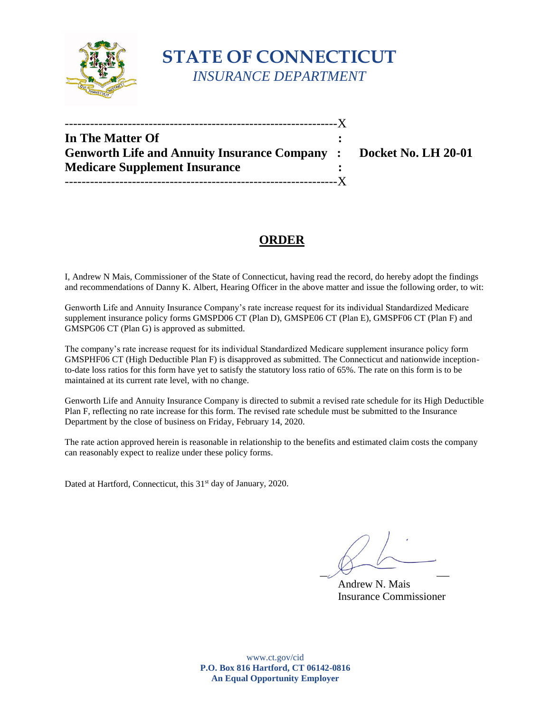

# **STATE OF CONNECTICUT**  *INSURANCE DEPARTMENT*

| In The Matter Of                                                  |  |
|-------------------------------------------------------------------|--|
| Genworth Life and Annuity Insurance Company : Docket No. LH 20-01 |  |
| <b>Medicare Supplement Insurance</b>                              |  |
|                                                                   |  |

## **ORDER**

 I, Andrew N Mais, Commissioner of the State of Connecticut, having read the record, do hereby adopt the findings and recommendations of Danny K. Albert, Hearing Officer in the above matter and issue the following order, to wit:

 Genworth Life and Annuity Insurance Company's rate increase request for its individual Standardized Medicare supplement insurance policy forms GMSPD06 CT (Plan D), GMSPE06 CT (Plan E), GMSPF06 CT (Plan F) and GMSPG06 CT (Plan G) is approved as submitted.

 The company's rate increase request for its individual Standardized Medicare supplement insurance policy form GMSPHF06 CT (High Deductible Plan F) is disapproved as submitted. The Connecticut and nationwide inception- to-date loss ratios for this form have yet to satisfy the statutory loss ratio of 65%. The rate on this form is to be maintained at its current rate level, with no change.

 Genworth Life and Annuity Insurance Company is directed to submit a revised rate schedule for its High Deductible Plan F, reflecting no rate increase for this form. The revised rate schedule must be submitted to the Insurance Department by the close of business on Friday, February 14, 2020.

 The rate action approved herein is reasonable in relationship to the benefits and estimated claim costs the company can reasonably expect to realize under these policy forms.

Dated at Hartford, Connecticut, this 31<sup>st</sup> day of January, 2020.

 $\overline{\mathscr{S}}$   $\overline{\mathscr{S}}$   $\overline{\mathscr{S}}$   $\overline{\mathscr{S}}$ 

Andrew N. Mais Insurance Commissioner

 **P.O. Box 816 Hartford, CT 06142-0816**  www.ct.gov/cid **An Equal Opportunity Employer**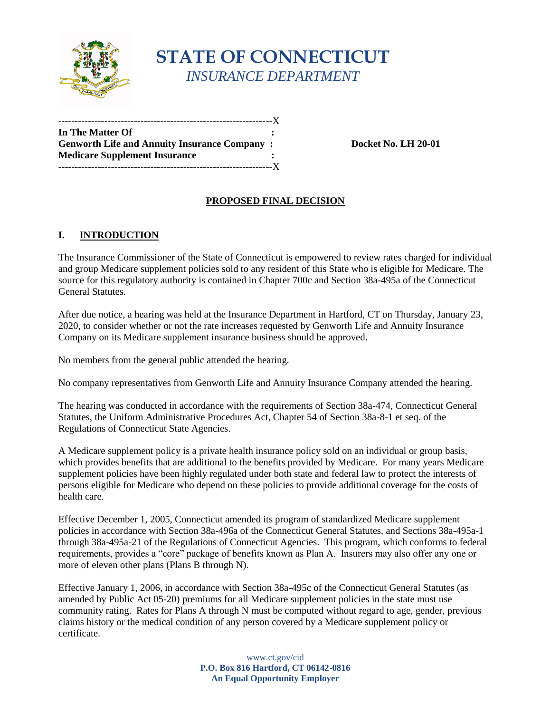

# **STATE OF CONNECTICUT**  *INSURANCE DEPARTMENT*

| In The Matter Of                                    |  |
|-----------------------------------------------------|--|
| <b>Genworth Life and Annuity Insurance Company:</b> |  |
| <b>Medicare Supplement Insurance</b>                |  |
|                                                     |  |

**Docket No. LH 20-01** 

## **PROPOSED FINAL DECISION**

#### $\mathbf{L}$ **INTRODUCTION**

 The Insurance Commissioner of the State of Connecticut is empowered to review rates charged for individual and group Medicare supplement policies sold to any resident of this State who is eligible for Medicare. The source for this regulatory authority is contained in Chapter 700c and Section 38a-495a of the Connecticut General Statutes.

After due notice, a hearing was held at the Insurance Department in Hartford, CT on Thursday, January 23, 2020, to consider whether or not the rate increases requested by Genworth Life and Annuity Insurance Company on its Medicare supplement insurance business should be approved.

No members from the general public attended the hearing.

No company representatives from Genworth Life and Annuity Insurance Company attended the hearing.

 Statutes, the Uniform Administrative Procedures Act, Chapter 54 of Section 38a-8-1 et seq. of the The hearing was conducted in accordance with the requirements of Section 38a-474, Connecticut General Regulations of Connecticut State Agencies.

 persons eligible for Medicare who depend on these policies to provide additional coverage for the costs of A Medicare supplement policy is a private health insurance policy sold on an individual or group basis, which provides benefits that are additional to the benefits provided by Medicare. For many years Medicare supplement policies have been highly regulated under both state and federal law to protect the interests of health care.

Effective December 1, 2005, Connecticut amended its program of standardized Medicare supplement policies in accordance with Section 38a-496a of the Connecticut General Statutes, and Sections 38a-495a-1 through 38a-495a-21 of the Regulations of Connecticut Agencies. This program, which conforms to federal requirements, provides a "core" package of benefits known as Plan A. Insurers may also offer any one or more of eleven other plans (Plans B through N).

 Effective January 1, 2006, in accordance with Section 38a-495c of the Connecticut General Statutes (as community rating. Rates for Plans A through N must be computed without regard to age, gender, previous amended by Public Act 05-20) premiums for all Medicare supplement policies in the state must use claims history or the medical condition of any person covered by a Medicare supplement policy or certificate.

> **P.O. Box 816 Hartford, CT 06142-0816**  www.ct.gov/cid **An Equal Opportunity Employer**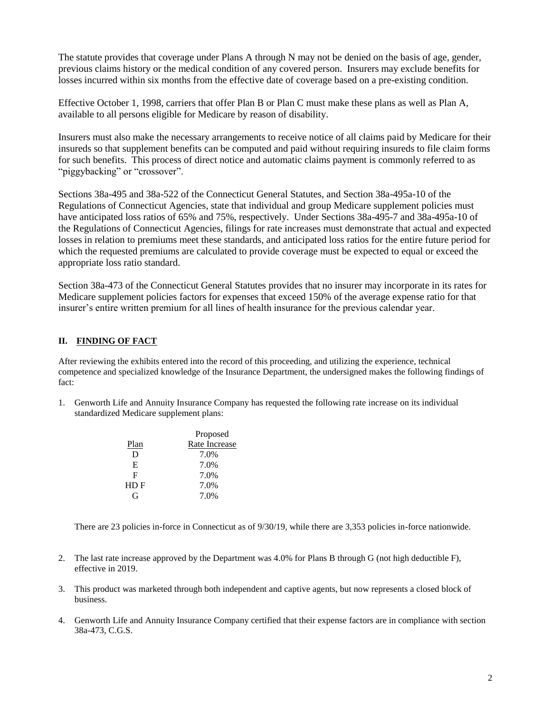previous claims history or the medical condition of any covered person. Insurers may exclude benefits for The statute provides that coverage under Plans A through N may not be denied on the basis of age, gender, losses incurred within six months from the effective date of coverage based on a pre-existing condition.

 available to all persons eligible for Medicare by reason of disability. Effective October 1, 1998, carriers that offer Plan B or Plan C must make these plans as well as Plan A,

 for such benefits. This process of direct notice and automatic claims payment is commonly referred to as Insurers must also make the necessary arrangements to receive notice of all claims paid by Medicare for their insureds so that supplement benefits can be computed and paid without requiring insureds to file claim forms "piggybacking" or "crossover".

Sections 38a-495 and 38a-522 of the Connecticut General Statutes, and Section 38a-495a-10 of the Regulations of Connecticut Agencies, state that individual and group Medicare supplement policies must have anticipated loss ratios of 65% and 75%, respectively. Under Sections 38a-495-7 and 38a-495a-10 of the Regulations of Connecticut Agencies, filings for rate increases must demonstrate that actual and expected losses in relation to premiums meet these standards, and anticipated loss ratios for the entire future period for which the requested premiums are calculated to provide coverage must be expected to equal or exceed the appropriate loss ratio standard.

 Section 38a-473 of the Connecticut General Statutes provides that no insurer may incorporate in its rates for Medicare supplement policies factors for expenses that exceed 150% of the average expense ratio for that insurer's entire written premium for all lines of health insurance for the previous calendar year.

### **II. FINDING OF FACT**

 After reviewing the exhibits entered into the record of this proceeding, and utilizing the experience, technical competence and specialized knowledge of the Insurance Department, the undersigned makes the following findings of fact:

 1. Genworth Life and Annuity Insurance Company has requested the following rate increase on its individual standardized Medicare supplement plans:

|      | Proposed      |  |
|------|---------------|--|
| Plan | Rate Increase |  |
| D    | 7.0%          |  |
| E    | 7.0%          |  |
| F    | 7.0%          |  |
| HDF  | 7.0%          |  |
| G    | 7.0%          |  |
|      |               |  |

There are 23 policies in-force in Connecticut as of 9/30/19, while there are 3,353 policies in-force nationwide.

- 2. The last rate increase approved by the Department was 4.0% for Plans B through G (not high deductible F), effective in 2019.
- 3. This product was marketed through both independent and captive agents, but now represents a closed block of business.
- 4. Genworth Life and Annuity Insurance Company certified that their expense factors are in compliance with section 38a-473, C.G.S.